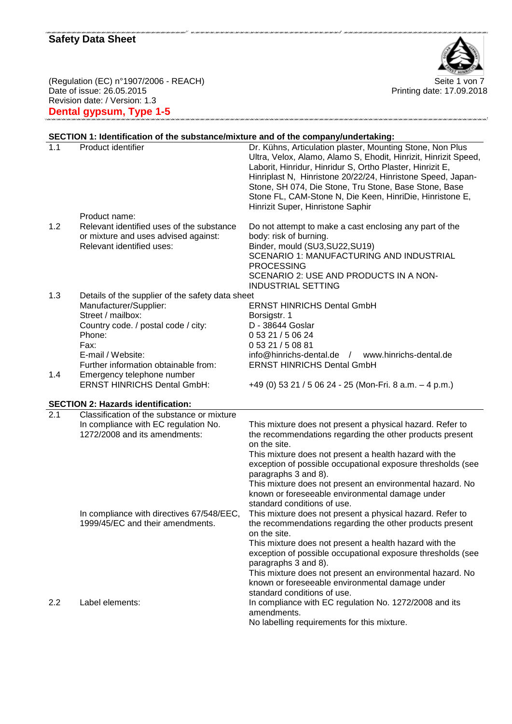

Printing date: 17.09.2018

(Regulation (EC) n°1907/2006 - REACH) Seite 1 von 7 Date of issue: 26.05.2015 Revision date: / Version: 1.3 **Dental gypsum, Type 1-5**

# **SECTION 1: Identification of the substance/mixture and of the company/undertaking:**

| Product identifier                                                                                             | Dr. Kühns, Articulation plaster, Mounting Stone, Non Plus<br>Ultra, Velox, Alamo, Alamo S, Ehodit, Hinrizit, Hinrizit Speed,<br>Laborit, Hinridur, Hinridur S, Ortho Plaster, Hinrizit E,<br>Hinriplast N, Hinristone 20/22/24, Hinristone Speed, Japan-<br>Stone, SH 074, Die Stone, Tru Stone, Base Stone, Base<br>Stone FL, CAM-Stone N, Die Keen, HinriDie, Hinristone E,<br>Hinrizit Super, Hinristone Saphir |
|----------------------------------------------------------------------------------------------------------------|--------------------------------------------------------------------------------------------------------------------------------------------------------------------------------------------------------------------------------------------------------------------------------------------------------------------------------------------------------------------------------------------------------------------|
| Product name:                                                                                                  |                                                                                                                                                                                                                                                                                                                                                                                                                    |
| Relevant identified uses of the substance<br>or mixture and uses advised against:<br>Relevant identified uses: | Do not attempt to make a cast enclosing any part of the<br>body: risk of burning.<br>Binder, mould (SU3, SU22, SU19)<br>SCENARIO 1: MANUFACTURING AND INDUSTRIAL<br><b>PROCESSING</b><br>SCENARIO 2: USE AND PRODUCTS IN A NON-<br><b>INDUSTRIAL SETTING</b>                                                                                                                                                       |
| Details of the supplier of the safety data sheet                                                               |                                                                                                                                                                                                                                                                                                                                                                                                                    |
|                                                                                                                | <b>ERNST HINRICHS Dental GmbH</b>                                                                                                                                                                                                                                                                                                                                                                                  |
|                                                                                                                | Borsigstr. 1<br>D - 38644 Goslar                                                                                                                                                                                                                                                                                                                                                                                   |
|                                                                                                                | 0 53 21 / 5 06 24                                                                                                                                                                                                                                                                                                                                                                                                  |
| Fax:                                                                                                           | 0 53 21 / 5 08 81                                                                                                                                                                                                                                                                                                                                                                                                  |
| E-mail / Website:                                                                                              | info@hinrichs-dental.de / www.hinrichs-dental.de                                                                                                                                                                                                                                                                                                                                                                   |
|                                                                                                                | <b>ERNST HINRICHS Dental GmbH</b>                                                                                                                                                                                                                                                                                                                                                                                  |
| <b>ERNST HINRICHS Dental GmbH:</b>                                                                             | +49 (0) 53 21 / 5 06 24 - 25 (Mon-Fri. 8 a.m. $-$ 4 p.m.)                                                                                                                                                                                                                                                                                                                                                          |
|                                                                                                                |                                                                                                                                                                                                                                                                                                                                                                                                                    |
| Classification of the substance or mixture                                                                     |                                                                                                                                                                                                                                                                                                                                                                                                                    |
|                                                                                                                |                                                                                                                                                                                                                                                                                                                                                                                                                    |
| In compliance with EC regulation No.<br>1272/2008 and its amendments:                                          | This mixture does not present a physical hazard. Refer to<br>the recommendations regarding the other products present<br>on the site.                                                                                                                                                                                                                                                                              |
|                                                                                                                | This mixture does not present a health hazard with the<br>exception of possible occupational exposure thresholds (see                                                                                                                                                                                                                                                                                              |
|                                                                                                                | paragraphs 3 and 8).<br>This mixture does not present an environmental hazard. No<br>known or foreseeable environmental damage under                                                                                                                                                                                                                                                                               |
| In compliance with directives 67/548/EEC,<br>1999/45/EC and their amendments.                                  | standard conditions of use.<br>This mixture does not present a physical hazard. Refer to<br>the recommendations regarding the other products present                                                                                                                                                                                                                                                               |
|                                                                                                                | on the site.<br>This mixture does not present a health hazard with the<br>exception of possible occupational exposure thresholds (see<br>paragraphs 3 and 8).                                                                                                                                                                                                                                                      |
|                                                                                                                | This mixture does not present an environmental hazard. No<br>known or foreseeable environmental damage under<br>standard conditions of use.                                                                                                                                                                                                                                                                        |
|                                                                                                                | Manufacturer/Supplier:<br>Street / mailbox:<br>Country code. / postal code / city:<br>Phone:<br>Further information obtainable from:<br>Emergency telephone number<br><b>SECTION 2: Hazards identification:</b>                                                                                                                                                                                                    |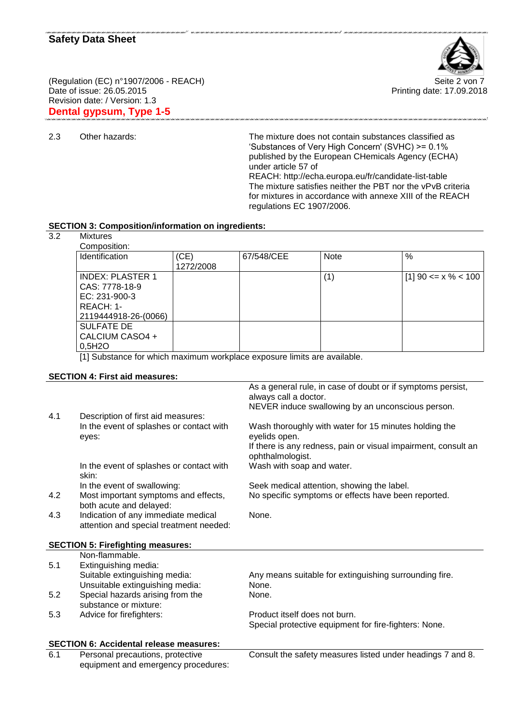

Printing date: 17.09.2018

(Regulation (EC) n°1907/2006 - REACH) Seite 2 von 7 Date of issue: 26.05.2015 Revision date: / Version: 1.3 **Dental gypsum, Type 1-5**

- ,<br>השני העור המונה מערכו של המונה המונה המונה המונה המונה המונה המונה המונה המונה המונה המונה המונה המונה המונה ה
- 

2.3 Other hazards: The mixture does not contain substances classified as 'Substances of Very High Concern' (SVHC) >= 0.1% published by the European CHemicals Agency (ECHA) under article 57 of REACH: http://echa.europa.eu/fr/candidate-list-table The mixture satisfies neither the PBT nor the vPvB criteria for mixtures in accordance with annexe XIII of the REACH regulations EC 1907/2006.

#### **SECTION 3: Composition/information on ingredients:**

equipment and emergency procedures:

3.2 Mixtures

| Composition:                                                                                                                                                                                                                                                                                                                                                                                                                                                          |           |            |             |                       |
|-----------------------------------------------------------------------------------------------------------------------------------------------------------------------------------------------------------------------------------------------------------------------------------------------------------------------------------------------------------------------------------------------------------------------------------------------------------------------|-----------|------------|-------------|-----------------------|
| <b>Identification</b>                                                                                                                                                                                                                                                                                                                                                                                                                                                 | (CE)      | 67/548/CEE | <b>Note</b> | %                     |
|                                                                                                                                                                                                                                                                                                                                                                                                                                                                       | 1272/2008 |            |             |                       |
| <b>INDEX: PLASTER 1</b>                                                                                                                                                                                                                                                                                                                                                                                                                                               |           |            | (1)         | $[1]$ 90 <= x % < 100 |
| CAS: 7778-18-9                                                                                                                                                                                                                                                                                                                                                                                                                                                        |           |            |             |                       |
| EC: 231-900-3                                                                                                                                                                                                                                                                                                                                                                                                                                                         |           |            |             |                       |
| REACH: 1-                                                                                                                                                                                                                                                                                                                                                                                                                                                             |           |            |             |                       |
| 2119444918-26-(0066)                                                                                                                                                                                                                                                                                                                                                                                                                                                  |           |            |             |                       |
| <b>SULFATE DE</b>                                                                                                                                                                                                                                                                                                                                                                                                                                                     |           |            |             |                       |
| CALCIUM CASO4 +                                                                                                                                                                                                                                                                                                                                                                                                                                                       |           |            |             |                       |
| 0,5H2O                                                                                                                                                                                                                                                                                                                                                                                                                                                                |           |            |             |                       |
| $\mathbf{r}$ . The contract of the contract of the contract of the contract of the contract of the contract of the contract of the contract of the contract of the contract of the contract of the contract of the contract of th<br>$\mathbf{r}$ , and the set of the set of the set of the set of the set of the set of the set of the set of the set of the set of the set of the set of the set of the set of the set of the set of the set of the set of the set |           |            |             |                       |

.<br>Tha chuir ann chuirean chuireann chuireann ann chuireann ann chuireann chuireann chuireann ann chuireann chui

[1] Substance for which maximum workplace exposure limits are available.

#### **SECTION 4: First aid measures:**

|     |                                                | As a general rule, in case of doubt or if symptoms persist,    |
|-----|------------------------------------------------|----------------------------------------------------------------|
|     |                                                | always call a doctor.                                          |
|     |                                                | NEVER induce swallowing by an unconscious person.              |
| 4.1 | Description of first aid measures:             |                                                                |
|     | In the event of splashes or contact with       | Wash thoroughly with water for 15 minutes holding the          |
|     | eyes:                                          | eyelids open.                                                  |
|     |                                                | If there is any redness, pain or visual impairment, consult an |
|     |                                                | ophthalmologist.                                               |
|     | In the event of splashes or contact with       | Wash with soap and water.                                      |
|     | skin:                                          |                                                                |
|     | In the event of swallowing:                    | Seek medical attention, showing the label.                     |
| 4.2 | Most important symptoms and effects,           | No specific symptoms or effects have been reported.            |
|     | both acute and delayed:                        |                                                                |
| 4.3 | Indication of any immediate medical            | None.                                                          |
|     | attention and special treatment needed:        |                                                                |
|     | <b>SECTION 5: Firefighting measures:</b>       |                                                                |
|     | Non-flammable.                                 |                                                                |
| 5.1 | Extinguishing media:                           |                                                                |
|     | Suitable extinguishing media:                  | Any means suitable for extinguishing surrounding fire.         |
|     | Unsuitable extinguishing media:                | None.                                                          |
| 5.2 | Special hazards arising from the               | None.                                                          |
|     | substance or mixture:                          |                                                                |
| 5.3 |                                                | Product itself does not burn.                                  |
|     | Advice for firefighters:                       |                                                                |
|     |                                                | Special protective equipment for fire-fighters: None.          |
|     | <b>SECTION 6: Accidental release measures:</b> |                                                                |
| 6.1 | Personal precautions, protective               | Consult the safety measures listed under headings 7 and 8.     |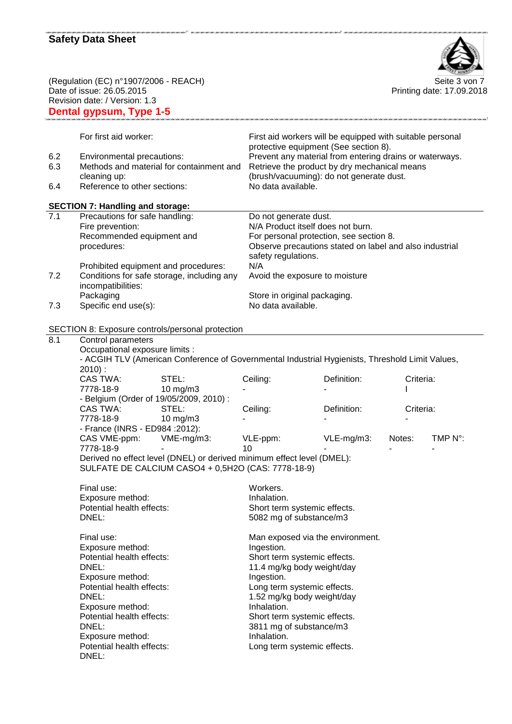

(Regulation (EC) n°1907/2006 - REACH) Seite 3 von 7 Date of issue: 26.05.2015 Revision date: / Version: 1.3

Printing date: 17.09.2018

|     | Revision date: / Version: 1.3<br>Dental gypsum, Type 1-5                                        |                                           |                                                           |           |         |
|-----|-------------------------------------------------------------------------------------------------|-------------------------------------------|-----------------------------------------------------------|-----------|---------|
|     | For first aid worker:                                                                           |                                           | First aid workers will be equipped with suitable personal |           |         |
|     |                                                                                                 |                                           | protective equipment (See section 8).                     |           |         |
| 6.2 | Environmental precautions:                                                                      |                                           | Prevent any material from entering drains or waterways.   |           |         |
| 6.3 | Methods and material for containment and                                                        |                                           | Retrieve the product by dry mechanical means              |           |         |
|     | cleaning up:                                                                                    |                                           | (brush/vacuuming): do not generate dust.                  |           |         |
| 6.4 | Reference to other sections:                                                                    | No data available.                        |                                                           |           |         |
|     | <b>SECTION 7: Handling and storage:</b>                                                         |                                           |                                                           |           |         |
| 7.1 | Precautions for safe handling:                                                                  | Do not generate dust.                     |                                                           |           |         |
|     | Fire prevention:                                                                                | N/A Product itself does not burn.         |                                                           |           |         |
|     | Recommended equipment and                                                                       |                                           | For personal protection, see section 8.                   |           |         |
|     | procedures:                                                                                     |                                           | Observe precautions stated on label and also industrial   |           |         |
|     |                                                                                                 | safety regulations.                       |                                                           |           |         |
|     | Prohibited equipment and procedures:                                                            | N/A                                       |                                                           |           |         |
| 7.2 | Conditions for safe storage, including any                                                      |                                           | Avoid the exposure to moisture                            |           |         |
|     | incompatibilities:                                                                              |                                           |                                                           |           |         |
|     | Packaging                                                                                       | Store in original packaging.              |                                                           |           |         |
| 7.3 | Specific end use(s):                                                                            | No data available.                        |                                                           |           |         |
|     | SECTION 8: Exposure controls/personal protection                                                |                                           |                                                           |           |         |
| 8.1 | Control parameters                                                                              |                                           |                                                           |           |         |
|     | Occupational exposure limits :                                                                  |                                           |                                                           |           |         |
|     | - ACGIH TLV (American Conference of Governmental Industrial Hygienists, Threshold Limit Values, |                                           |                                                           |           |         |
|     | $2010$ :                                                                                        |                                           |                                                           |           |         |
|     | <b>CAS TWA:</b><br>STEL:                                                                        | Ceiling:                                  | Definition:                                               | Criteria: |         |
|     | 7778-18-9<br>$10$ mg/m $3$                                                                      |                                           |                                                           |           |         |
|     | - Belgium (Order of 19/05/2009, 2010) :                                                         |                                           |                                                           |           |         |
|     | CAS TWA:<br>STEL:                                                                               | Ceiling:                                  | Definition:                                               | Criteria: |         |
|     | 7778-18-9<br>$10$ mg/m $3$                                                                      |                                           |                                                           |           |         |
|     | - France (INRS - ED984 : 2012):                                                                 |                                           |                                                           |           |         |
|     | CAS VME-ppm:<br>VME-mg/m3:                                                                      | VLE-ppm:                                  | VLE-mg/m3:                                                | Notes:    | TMP N°: |
|     | 7778-18-9                                                                                       | 10                                        |                                                           |           |         |
|     | Derived no effect level (DNEL) or derived minimum effect level (DMEL):                          |                                           |                                                           |           |         |
|     | SULFATE DE CALCIUM CASO4 + 0,5H2O (CAS: 7778-18-9)                                              |                                           |                                                           |           |         |
|     | Final use:                                                                                      | Workers.                                  |                                                           |           |         |
|     | Exposure method:                                                                                | Inhalation.                               |                                                           |           |         |
|     | Potential health effects:                                                                       | Short term systemic effects.              |                                                           |           |         |
|     | DNEL:                                                                                           | 5082 mg of substance/m3                   |                                                           |           |         |
|     | Final use:                                                                                      | Man exposed via the environment.          |                                                           |           |         |
|     | Exposure method:                                                                                | Ingestion.                                |                                                           |           |         |
|     | Potential health effects:                                                                       | Short term systemic effects.              |                                                           |           |         |
|     | DNEL:                                                                                           |                                           |                                                           |           |         |
|     |                                                                                                 | 11.4 mg/kg body weight/day                |                                                           |           |         |
|     | Exposure method:                                                                                | Ingestion.<br>Long term systemic effects. |                                                           |           |         |
|     | Potential health effects:<br>DNEL:                                                              |                                           |                                                           |           |         |
|     |                                                                                                 | 1.52 mg/kg body weight/day                |                                                           |           |         |
|     | Exposure method:                                                                                | Inhalation.                               |                                                           |           |         |
|     | Potential health effects:                                                                       | Short term systemic effects.              |                                                           |           |         |
|     | DNEL:                                                                                           | 3811 mg of substance/m3                   |                                                           |           |         |
|     | Exposure method:                                                                                | Inhalation.                               |                                                           |           |         |
|     | Potential health effects:                                                                       | Long term systemic effects.               |                                                           |           |         |
|     | DNEL:                                                                                           |                                           |                                                           |           |         |

m control on concentrate on control on control on control on control control control on control on control on control of any office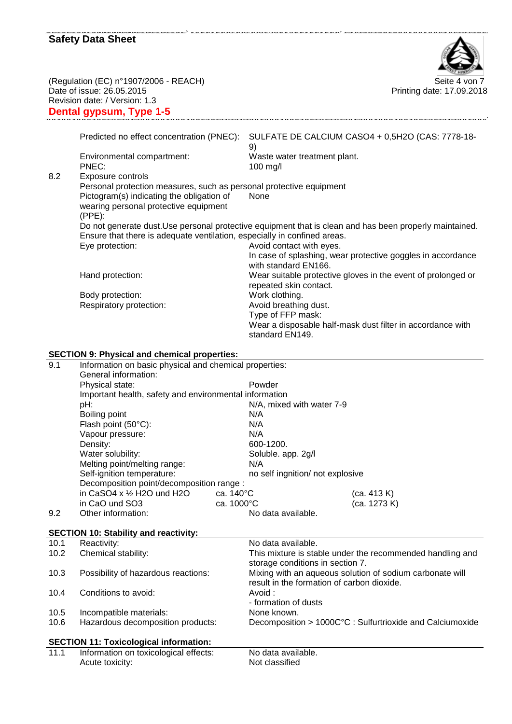

(Regulation (EC) n°1907/2006 - REACH) Seite 4 von 7 Date of issue: 26.05.2015 Revision date: / Version: 1.3 **Dental gypsum, Type 1-5**

Printing date: 17.09.2018

|     | Deniai gypsum, Type 1-5                                                                         |                                                                                                                 |  |
|-----|-------------------------------------------------------------------------------------------------|-----------------------------------------------------------------------------------------------------------------|--|
|     |                                                                                                 |                                                                                                                 |  |
|     | Predicted no effect concentration (PNEC):                                                       | SULFATE DE CALCIUM CASO4 + 0,5H2O (CAS: 7778-18-<br>9)                                                          |  |
|     | Environmental compartment:<br>PNEC:                                                             | Waste water treatment plant.<br>$100$ mg/l                                                                      |  |
| 8.2 | Exposure controls                                                                               |                                                                                                                 |  |
|     | Personal protection measures, such as personal protective equipment                             |                                                                                                                 |  |
|     | Pictogram(s) indicating the obligation of<br>wearing personal protective equipment<br>$(PPE)$ : | None                                                                                                            |  |
|     | Ensure that there is adequate ventilation, especially in confined areas.                        | Do not generate dust. Use personal protective equipment that is clean and has been properly maintained.         |  |
|     | Eye protection:                                                                                 | Avoid contact with eyes.<br>In case of splashing, wear protective goggles in accordance<br>with standard EN166. |  |
|     | Hand protection:                                                                                | Wear suitable protective gloves in the event of prolonged or<br>repeated skin contact.                          |  |
|     | Body protection:                                                                                | Work clothing.                                                                                                  |  |
|     | Respiratory protection:                                                                         | Avoid breathing dust.                                                                                           |  |
|     |                                                                                                 | Type of FFP mask:                                                                                               |  |
|     |                                                                                                 | Wear a disposable half-mask dust filter in accordance with<br>standard EN149.                                   |  |
|     | <b>SECTION 9: Physical and chemical properties:</b>                                             |                                                                                                                 |  |
| 9.1 | Information on basic physical and chemical properties:                                          |                                                                                                                 |  |
|     | General information:                                                                            |                                                                                                                 |  |
|     | Physical state:                                                                                 | Powder                                                                                                          |  |
|     | Important health, safety and environmental information                                          |                                                                                                                 |  |
|     | pH:                                                                                             | N/A, mixed with water 7-9                                                                                       |  |
|     | Boiling point                                                                                   | N/A                                                                                                             |  |
|     | Flash point (50°C):                                                                             | N/A                                                                                                             |  |
|     | Vapour pressure:<br>Density:                                                                    | N/A<br>600-1200.                                                                                                |  |
|     | Water solubility:                                                                               | Soluble. app. 2g/l                                                                                              |  |
|     |                                                                                                 |                                                                                                                 |  |

.<br>עם מעט אורי אורי מערכות המרכזיות בערכות המרכזיות בערכות בערכות המרכזיות בערכות בערכות בערכות בערכות המרכזיות ב

| 9.1  | information on basic physical and chemical properties:<br>General information: |                                  |                                                           |
|------|--------------------------------------------------------------------------------|----------------------------------|-----------------------------------------------------------|
|      | Physical state:                                                                | Powder                           |                                                           |
|      | Important health, safety and environmental information                         |                                  |                                                           |
|      | pH:                                                                            | N/A, mixed with water 7-9        |                                                           |
|      | Boiling point                                                                  | N/A                              |                                                           |
|      | Flash point (50°C):                                                            | N/A                              |                                                           |
|      | Vapour pressure:                                                               | N/A                              |                                                           |
|      | Density:                                                                       | 600-1200.                        |                                                           |
|      | Water solubility:                                                              | Soluble. app. 2g/l               |                                                           |
|      | Melting point/melting range:                                                   | N/A                              |                                                           |
|      | Self-ignition temperature:                                                     | no self ingnition/ not explosive |                                                           |
|      | Decomposition point/decomposition range :                                      |                                  |                                                           |
|      | in CaSO4 x $\frac{1}{2}$ H2O und H2O                                           | ca. $140^{\circ}$ C              | (ca. 413 K)                                               |
|      | in CaO und SO3                                                                 | ca. 1000°C                       | (ca. 1273 K)                                              |
| 9.2  | Other information:                                                             | No data available.               |                                                           |
|      |                                                                                |                                  |                                                           |
|      | <b>SECTION 10: Stability and reactivity:</b>                                   |                                  |                                                           |
| 10.1 | Reactivity:                                                                    | No data available.               |                                                           |
| 10.2 | Chemical stability:                                                            |                                  | This mixture is stable under the recommended handling and |
|      |                                                                                | storage conditions in section 7. |                                                           |
| 10.3 | Possibility of hazardous reactions:                                            |                                  | Mixing with an aqueous solution of sodium carbonate will  |
|      |                                                                                |                                  | result in the formation of carbon dioxide.                |
| 10.4 | Conditions to avoid:                                                           | Avoid:                           |                                                           |
|      |                                                                                | - formation of dusts             |                                                           |
| 10.5 | Incompatible materials:                                                        | None known.                      |                                                           |
| 10.6 | Hazardous decomposition products:                                              |                                  | Decomposition > 1000C°C : Sulfurtrioxide and Calciumoxide |
|      |                                                                                |                                  |                                                           |
|      | <b>SECTION 11: Toxicological information:</b>                                  |                                  |                                                           |
| 11.1 | Information on toxicological effects:                                          | No data available.               |                                                           |
|      | Acute toxicity:                                                                | Not classified                   |                                                           |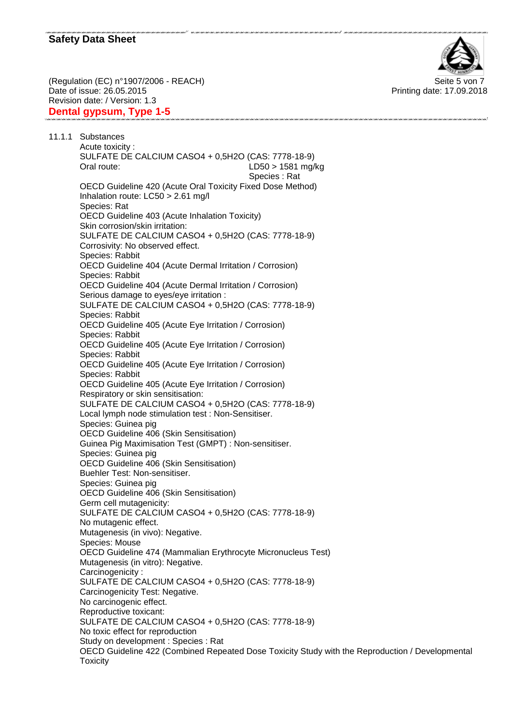

(Regulation (EC) n°1907/2006 - REACH) Seite 5 von 7 Date of issue: 26.05.2015 Revision date: / Version: 1.3 **Dental gypsum, Type 1-5**

Printing date: 17.09.2018

11.1.1 Substances Acute toxicity : SULFATE DE CALCIUM CASO4 + 0,5H2O (CAS: 7778-18-9) Oral route: LD50 > 1581 mg/kg Species : Rat OECD Guideline 420 (Acute Oral Toxicity Fixed Dose Method) Inhalation route: LC50 > 2.61 mg/l Species: Rat OECD Guideline 403 (Acute Inhalation Toxicity) Skin corrosion/skin irritation: SULFATE DE CALCIUM CASO4 + 0,5H2O (CAS: 7778-18-9) Corrosivity: No observed effect. Species: Rabbit OECD Guideline 404 (Acute Dermal Irritation / Corrosion) Species: Rabbit OECD Guideline 404 (Acute Dermal Irritation / Corrosion) Serious damage to eyes/eye irritation : SULFATE DE CALCIUM CASO4 + 0,5H2O (CAS: 7778-18-9) Species: Rabbit OECD Guideline 405 (Acute Eye Irritation / Corrosion) Species: Rabbit OECD Guideline 405 (Acute Eye Irritation / Corrosion) Species: Rabbit OECD Guideline 405 (Acute Eye Irritation / Corrosion) Species: Rabbit OECD Guideline 405 (Acute Eye Irritation / Corrosion) Respiratory or skin sensitisation: SULFATE DE CALCIUM CASO4 + 0,5H2O (CAS: 7778-18-9) Local lymph node stimulation test : Non-Sensitiser. Species: Guinea pig OECD Guideline 406 (Skin Sensitisation) Guinea Pig Maximisation Test (GMPT) : Non-sensitiser. Species: Guinea pig OECD Guideline 406 (Skin Sensitisation) Buehler Test: Non-sensitiser. Species: Guinea pig OECD Guideline 406 (Skin Sensitisation) Germ cell mutagenicity: SULFATE DE CALCIUM CASO4 + 0,5H2O (CAS: 7778-18-9) No mutagenic effect. Mutagenesis (in vivo): Negative. Species: Mouse OECD Guideline 474 (Mammalian Erythrocyte Micronucleus Test) Mutagenesis (in vitro): Negative. Carcinogenicity : SULFATE DE CALCIUM CASO4 + 0,5H2O (CAS: 7778-18-9) Carcinogenicity Test: Negative. No carcinogenic effect. Reproductive toxicant: SULFATE DE CALCIUM CASO4 + 0,5H2O (CAS: 7778-18-9) No toxic effect for reproduction Study on development : Species : Rat OECD Guideline 422 (Combined Repeated Dose Toxicity Study with the Reproduction / Developmental **Toxicity**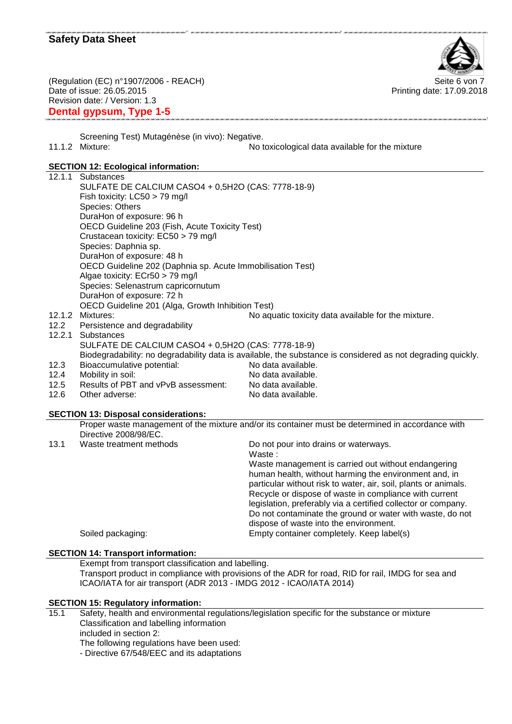

(Regulation (EC) n°1907/2006 - REACH) Seite 6 von 7 Date of issue: 26.05.2015 Revision date: / Version: 1.3 **Dental gypsum, Type 1-5**

Printing date: 17.09.2018

Screening Test) Mutagénèse (in vivo): Negative. 11.1.2 Mixture: No toxicological data available for the mixture

.<br>1997 - 1999 - 1999 - 1999 - 1999 - 1999 - 1999 - 1999 - 1999 - 1999 - 1999 - 1999 - 1999 - 1999 - 1999 - 199

.<br>נוער בעורך שום בעורך שום בעורך שום בעורך שום בעורך שום בעורך שום בעורך שום בעורך שום בעורך שובים מיום בעורך ש

# **SECTION 12: Ecological information:**

|        | 02011011 12. 20010910al IIII01111ation.                    |                                                                                                             |
|--------|------------------------------------------------------------|-------------------------------------------------------------------------------------------------------------|
|        | 12.1.1 Substances                                          |                                                                                                             |
|        | SULFATE DE CALCIUM CASO4 + 0,5H2O (CAS: 7778-18-9)         |                                                                                                             |
|        | Fish toxicity: LC50 > 79 mg/l                              |                                                                                                             |
|        | Species: Others                                            |                                                                                                             |
|        | DuraHon of exposure: 96 h                                  |                                                                                                             |
|        | OECD Guideline 203 (Fish, Acute Toxicity Test)             |                                                                                                             |
|        | Crustacean toxicity: EC50 > 79 mg/l                        |                                                                                                             |
|        | Species: Daphnia sp.                                       |                                                                                                             |
|        | DuraHon of exposure: 48 h                                  |                                                                                                             |
|        | OECD Guideline 202 (Daphnia sp. Acute Immobilisation Test) |                                                                                                             |
|        | Algae toxicity: ECr50 > 79 mg/l                            |                                                                                                             |
|        | Species: Selenastrum capricornutum                         |                                                                                                             |
|        | DuraHon of exposure: 72 h                                  |                                                                                                             |
|        | OECD Guideline 201 (Alga, Growth Inhibition Test)          |                                                                                                             |
| 12.1.2 | Mixtures:                                                  | No aquatic toxicity data available for the mixture.                                                         |
| 12.2   | Persistence and degradability                              |                                                                                                             |
| 12.2.1 | Substances                                                 |                                                                                                             |
|        | SULFATE DE CALCIUM CASO4 + 0,5H2O (CAS: 7778-18-9)         |                                                                                                             |
|        |                                                            | Biodegradability: no degradability data is available, the substance is considered as not degrading quickly. |
| 12.3   | Bioaccumulative potential:                                 | No data available.                                                                                          |
| 12.4   | Mobility in soil:                                          | No data available.                                                                                          |
| 12.5   | Results of PBT and vPvB assessment:                        | No data available.                                                                                          |
| 12.6   | Other adverse:                                             | No data available.                                                                                          |
|        | <b>SECTION 13: Disposal considerations:</b>                |                                                                                                             |
|        |                                                            | Proper waste management of the mixture and/or its container must be determined in accordance with           |
|        | Directive 2008/98/EC.                                      |                                                                                                             |
| 13.1   | Waste treatment methods                                    | Do not pour into drains or waterways.                                                                       |
|        |                                                            | Waste:                                                                                                      |
|        |                                                            | Waste management is carried out without endangering                                                         |
|        |                                                            | human health, without harming the environment and, in                                                       |
|        |                                                            | particular without risk to water, air, soil, plants or animals.                                             |
|        |                                                            | Recycle or dispose of waste in compliance with current                                                      |
|        |                                                            | legislation, preferably via a certified collector or company.                                               |
|        |                                                            | Do not contaminate the ground or water with waste, do not                                                   |

Soiled packaging: Empty container completely. Keep label(s)

#### **SECTION 14: Transport information:**

Exempt from transport classification and labelling. Transport product in compliance with provisions of the ADR for road, RID for rail, IMDG for sea and ICAO/IATA for air transport (ADR 2013 - IMDG 2012 - ICAO/IATA 2014)

dispose of waste into the environment.

#### **SECTION 15: Regulatory information:**

- 15.1 Safety, health and environmental regulations/legislation specific for the substance or mixture Classification and labelling information included in section 2: The following regulations have been used:
	- Directive 67/548/EEC and its adaptations